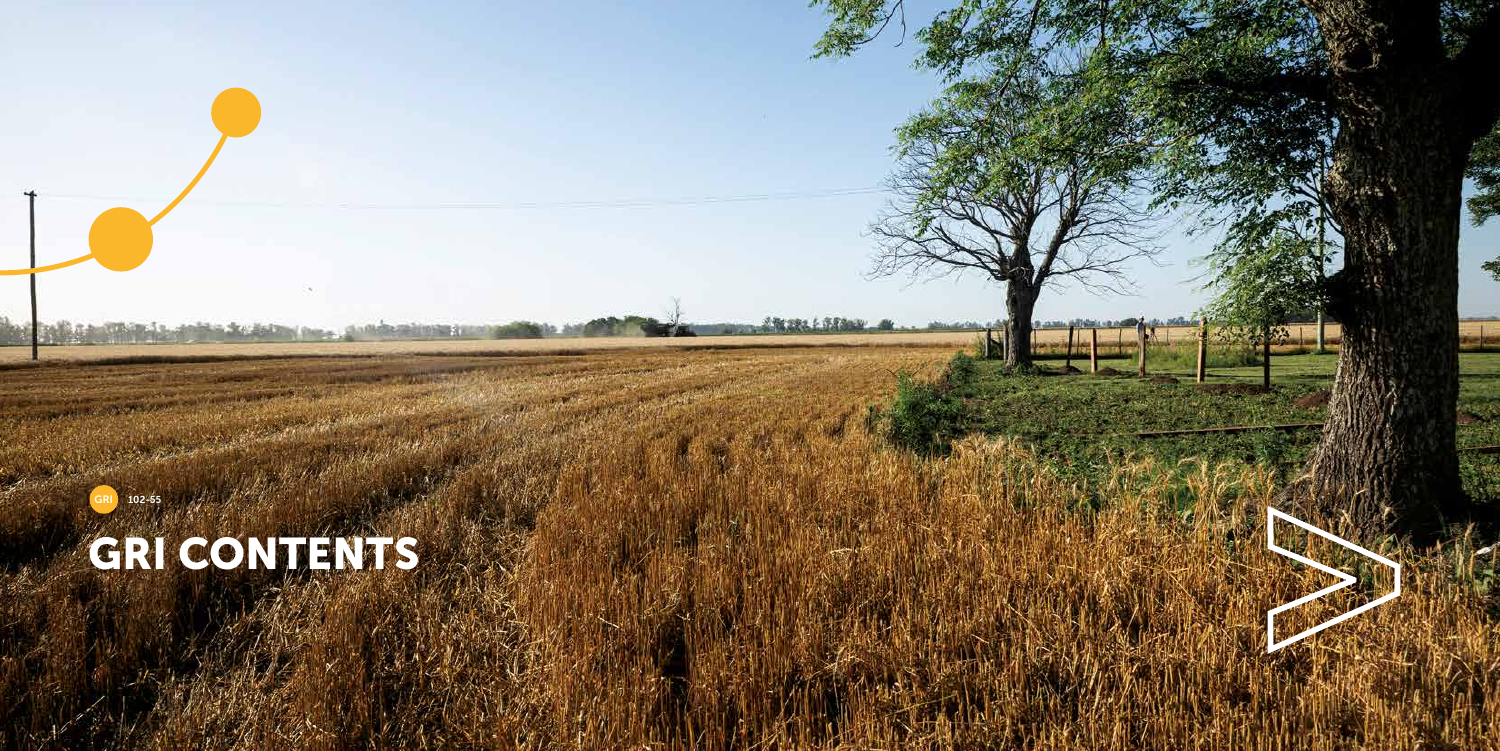

# GRI CONTENTS

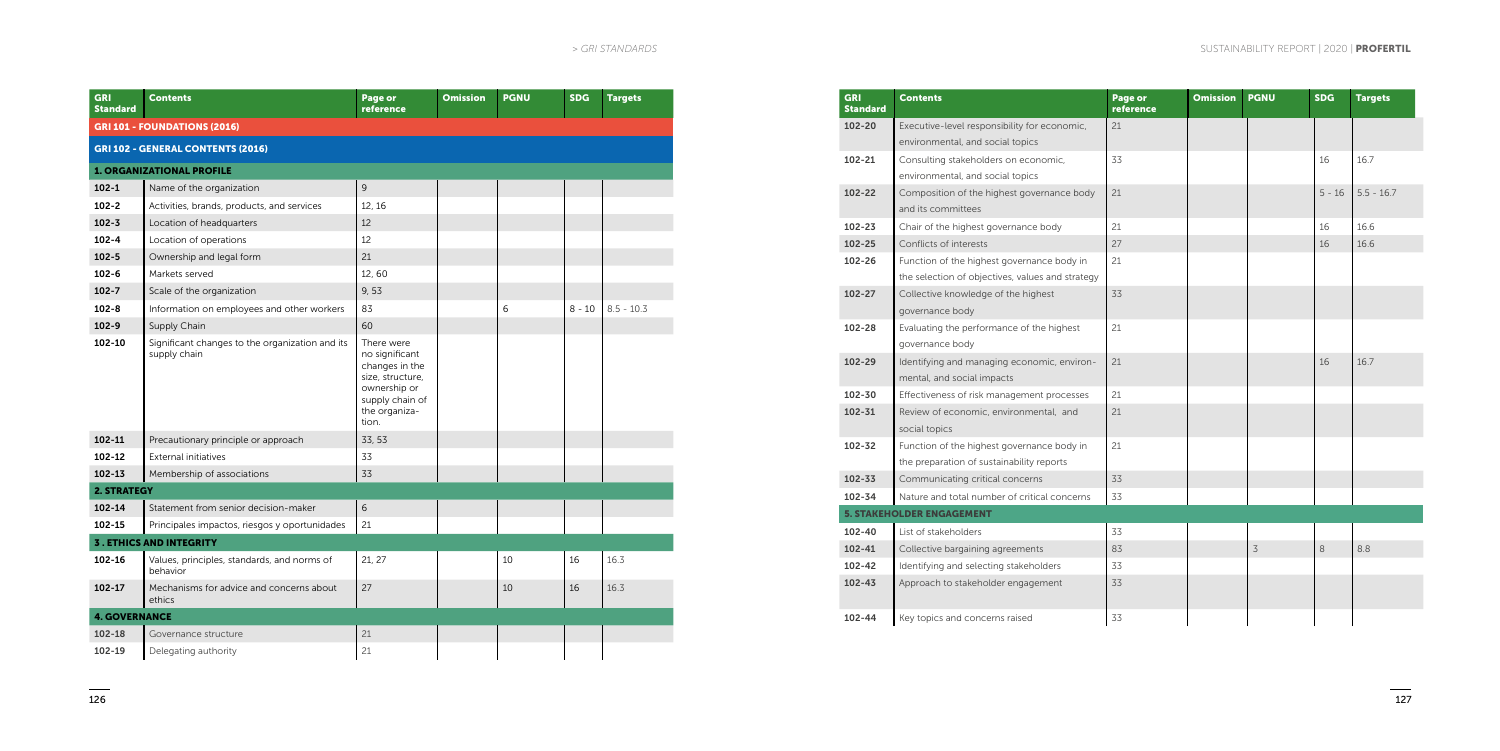| <b>GRI</b><br><b>Standard</b> | <b>Contents</b>                                                 | Page or<br>reference                                                                                                            | <b>Omission</b> | <b>PGNU</b> | <b>SDG</b> | <b>Targets</b> |
|-------------------------------|-----------------------------------------------------------------|---------------------------------------------------------------------------------------------------------------------------------|-----------------|-------------|------------|----------------|
|                               | <b>GRI 101 - FOUNDATIONS (2016)</b>                             |                                                                                                                                 |                 |             |            |                |
|                               | <b>GRI 102 - GENERAL CONTENTS (2016)</b>                        |                                                                                                                                 |                 |             |            |                |
|                               | <b>1. ORGANIZATIONAL PROFILE</b>                                |                                                                                                                                 |                 |             |            |                |
| $102 - 1$                     | Name of the organization                                        | $\overline{9}$                                                                                                                  |                 |             |            |                |
| $102 - 2$                     | Activities, brands, products, and services                      | 12.16                                                                                                                           |                 |             |            |                |
| $102 - 3$                     | Location of headquarters                                        | 12                                                                                                                              |                 |             |            |                |
| $102 - 4$                     | Location of operations                                          | 12                                                                                                                              |                 |             |            |                |
| $102 - 5$                     | Ownership and legal form                                        | 21                                                                                                                              |                 |             |            |                |
| $102 - 6$                     | Markets served                                                  | 12,60                                                                                                                           |                 |             |            |                |
| $102 - 7$                     | Scale of the organization                                       | 9,53                                                                                                                            |                 |             |            |                |
| $102 - 8$                     | Information on employees and other workers                      | 83                                                                                                                              |                 | 6           | $8 - 10$   | $8.5 - 10.3$   |
| $102 - 9$                     | Supply Chain                                                    | 60                                                                                                                              |                 |             |            |                |
| 102-10                        | Significant changes to the organization and its<br>supply chain | There were<br>no significant<br>changes in the<br>size, structure,<br>ownership or<br>supply chain of<br>the organiza-<br>tion. |                 |             |            |                |
| 102-11                        | Precautionary principle or approach                             | 33, 53                                                                                                                          |                 |             |            |                |
| $102 - 12$                    | <b>External initiatives</b>                                     | 33                                                                                                                              |                 |             |            |                |
| $102 - 13$                    | Membership of associations                                      | 33                                                                                                                              |                 |             |            |                |
| <b>2. STRATEGY</b>            |                                                                 |                                                                                                                                 |                 |             |            |                |
| 102-14                        | Statement from senior decision-maker                            | 6                                                                                                                               |                 |             |            |                |
| 102-15                        | Principales impactos, riesgos y oportunidades                   | 21                                                                                                                              |                 |             |            |                |
|                               | <b>3. ETHICS AND INTEGRITY</b>                                  |                                                                                                                                 |                 |             |            |                |
| $102 - 16$                    | Values, principles, standards, and norms of<br>behavior         | 21, 27                                                                                                                          |                 | 10          | 16         | 16.3           |
| $102 - 17$                    | Mechanisms for advice and concerns about<br>ethics              | 27                                                                                                                              |                 | 10          | 16         | 16.3           |
| <b>4. GOVERNANCE</b>          |                                                                 |                                                                                                                                 |                 |             |            |                |
| 102-18                        | Governance structure                                            | 21                                                                                                                              |                 |             |            |                |
| 102-19                        | Delegating authority                                            | 21                                                                                                                              |                 |             |            |                |

| GRI<br><b>Standard</b> | <b>Contents</b>                                  | Page or<br>reference | <b>Omission</b> | <b>PGNU</b>    | <b>SDG</b> | <b>Targets</b> |
|------------------------|--------------------------------------------------|----------------------|-----------------|----------------|------------|----------------|
| $102 - 20$             | Executive-level responsibility for economic,     | 21                   |                 |                |            |                |
|                        | environmental, and social topics                 |                      |                 |                |            |                |
| 102-21                 | Consulting stakeholders on economic,             | 33                   |                 |                | 16         | 16.7           |
|                        | environmental, and social topics                 |                      |                 |                |            |                |
| $102 - 22$             | Composition of the highest governance body       | 21                   |                 |                | $5 - 16$   | $5.5 - 16.7$   |
|                        | and its committees                               |                      |                 |                |            |                |
| 102-23                 | Chair of the highest governance body             | 21                   |                 |                | 16         | 16.6           |
| 102-25                 | Conflicts of interests                           | 27                   |                 |                | 16         | 16.6           |
| 102-26                 | Function of the highest governance body in       | 21                   |                 |                |            |                |
|                        | the selection of objectives, values and strategy |                      |                 |                |            |                |
| 102-27                 | Collective knowledge of the highest              | 33                   |                 |                |            |                |
|                        | governance body                                  |                      |                 |                |            |                |
| 102-28                 | Evaluating the performance of the highest        | 21                   |                 |                |            |                |
|                        | governance body                                  |                      |                 |                |            |                |
| $102 - 29$             | Identifying and managing economic, environ-      | 21                   |                 |                | 16         | 16.7           |
|                        | mental, and social impacts                       |                      |                 |                |            |                |
| 102-30                 | Effectiveness of risk management processes       | 21                   |                 |                |            |                |
| 102-31                 | Review of economic, environmental, and           | 21                   |                 |                |            |                |
|                        | social topics                                    |                      |                 |                |            |                |
| 102-32                 | Function of the highest governance body in       | 21                   |                 |                |            |                |
|                        | the preparation of sustainability reports        |                      |                 |                |            |                |
| 102-33                 | Communicating critical concerns                  | 33                   |                 |                |            |                |
| 102-34                 | Nature and total number of critical concerns     | 33                   |                 |                |            |                |
|                        | <b>5. STAKEHOLDER ENGAGEMENT</b>                 |                      |                 |                |            |                |
| $102 - 40$             | List of stakeholders                             | 33                   |                 |                |            |                |
| $102 - 41$             | Collective bargaining agreements                 | 83                   |                 | $\overline{3}$ | 8          | 8.8            |
| 102-42                 | Identifying and selecting stakeholders           | 33                   |                 |                |            |                |
| $102 - 43$             | Approach to stakeholder engagement               | 33                   |                 |                |            |                |
| $102 - 44$             | Key topics and concerns raised                   | 33                   |                 |                |            |                |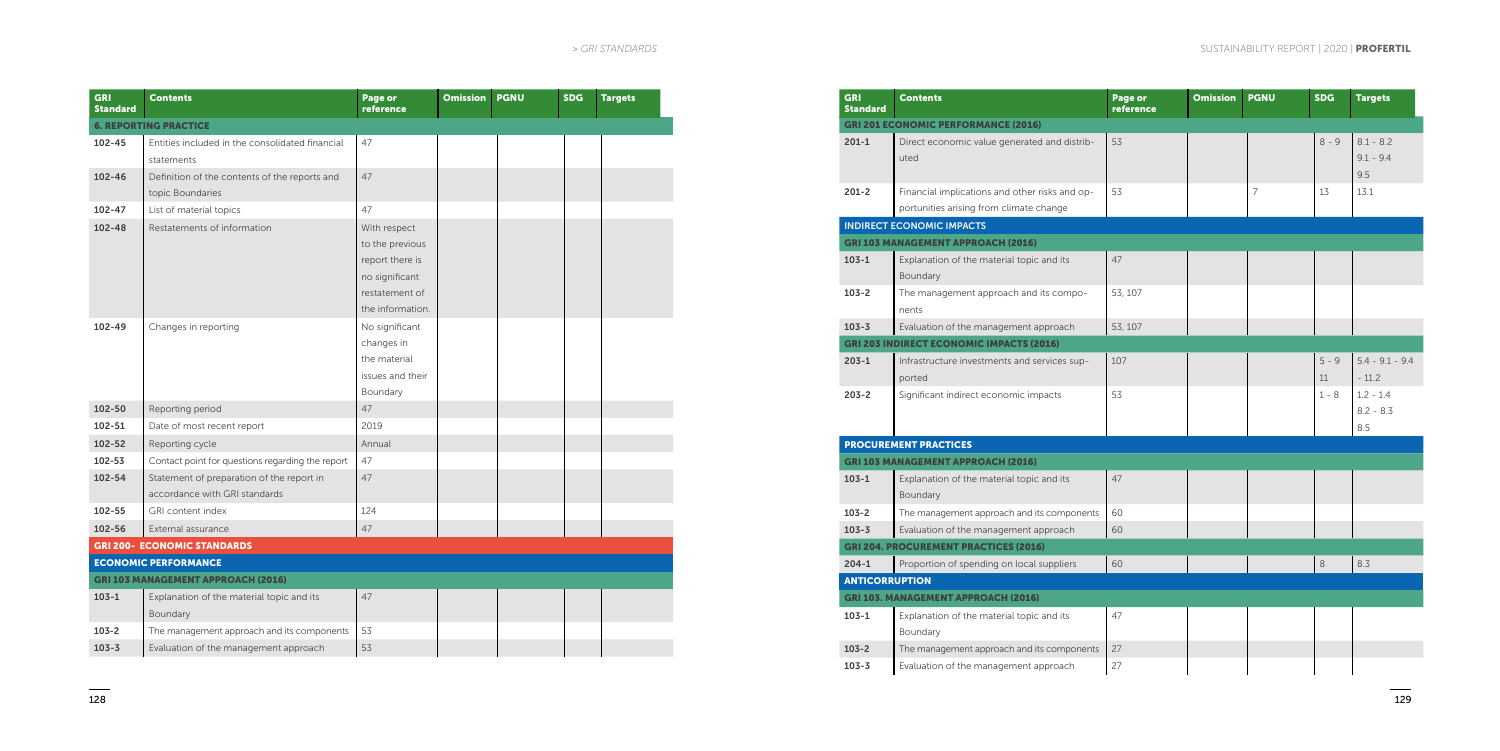| <b>GRI</b><br><b>Standard</b> | <b>Contents</b>                                                            | Page or<br>reference                                                                                       | <b>Omission</b> | <b>PGNU</b> | <b>SDG</b> | <b>Targets</b> |
|-------------------------------|----------------------------------------------------------------------------|------------------------------------------------------------------------------------------------------------|-----------------|-------------|------------|----------------|
|                               | <b>6. REPORTING PRACTICE</b>                                               |                                                                                                            |                 |             |            |                |
| 102-45                        | Entities included in the consolidated financial<br>statements              | 47                                                                                                         |                 |             |            |                |
| 102-46                        | Definition of the contents of the reports and<br>topic Boundaries          | 47                                                                                                         |                 |             |            |                |
| $102 - 47$                    | List of material topics                                                    | 47                                                                                                         |                 |             |            |                |
| 102-48                        | Restatements of information                                                | With respect<br>to the previous<br>report there is<br>no significant<br>restatement of<br>the information. |                 |             |            |                |
| 102-49                        | Changes in reporting                                                       | No significant<br>changes in<br>the material<br>issues and their<br>Boundary                               |                 |             |            |                |
| 102-50                        | Reporting period                                                           | 47                                                                                                         |                 |             |            |                |
| 102-51                        | Date of most recent report                                                 | 2019                                                                                                       |                 |             |            |                |
| 102-52                        | Reporting cycle                                                            | Annual                                                                                                     |                 |             |            |                |
| $102 - 53$                    | Contact point for questions regarding the report                           | 47                                                                                                         |                 |             |            |                |
| $102 - 54$                    | Statement of preparation of the report in<br>accordance with GRI standards | 47                                                                                                         |                 |             |            |                |
| 102-55                        | GRI content index                                                          | 124                                                                                                        |                 |             |            |                |
| 102-56                        | External assurance                                                         | 47                                                                                                         |                 |             |            |                |
|                               | <b>GRI 200- ECONOMIC STANDARDS</b>                                         |                                                                                                            |                 |             |            |                |
|                               | <b>ECONOMIC PERFORMANCE</b>                                                |                                                                                                            |                 |             |            |                |
|                               | <b>GRI 103 MANAGEMENT APPROACH (2016)</b>                                  |                                                                                                            |                 |             |            |                |
| $103 - 1$                     | Explanation of the material topic and its<br>Boundary                      | 47                                                                                                         |                 |             |            |                |
| $103 - 2$                     | The management approach and its components                                 | 53                                                                                                         |                 |             |            |                |
| $103 - 3$                     | Evaluation of the management approach                                      | 53                                                                                                         |                 |             |            |                |

| <b>GRI</b><br><b>Standard</b> | <b>Contents</b>                                                                           | Page or<br>reference | <b>Omission</b> | <b>PGNU</b>    | <b>SDG</b>    | <b>Targets</b>                    |
|-------------------------------|-------------------------------------------------------------------------------------------|----------------------|-----------------|----------------|---------------|-----------------------------------|
|                               | <b>GRI 201 ECONOMIC PERFORMANCE (2016)</b>                                                |                      |                 |                |               |                                   |
| $201 - 1$                     | Direct economic value generated and distrib-<br>uted                                      | 53                   |                 |                | $8 - 9$       | $8.1 - 8.2$<br>$9.1 - 9.4$<br>9.5 |
| $201 - 2$                     | Financial implications and other risks and op-<br>portunities arising from climate change | 53                   |                 | $\overline{7}$ | 13            | 13.1                              |
|                               | <b>INDIRECT ECONOMIC IMPACTS</b>                                                          |                      |                 |                |               |                                   |
|                               | <b>GRI 103 MANAGEMENT APPROACH (2016)</b>                                                 |                      |                 |                |               |                                   |
| $103 - 1$                     | Explanation of the material topic and its<br>Boundary                                     | 47                   |                 |                |               |                                   |
| $103 - 2$                     | The management approach and its compo-<br>nents                                           | 53, 107              |                 |                |               |                                   |
| $103 - 3$                     | Evaluation of the management approach                                                     | 53, 107              |                 |                |               |                                   |
|                               | <b>GRI 203 INDIRECT ECONOMIC IMPACTS (2016)</b>                                           |                      |                 |                |               |                                   |
| $203 - 1$                     | Infrastructure investments and services sup-<br>ported                                    | 107                  |                 |                | $5 - 9$<br>11 | $5.4 - 9.1 - 9.4$<br>$-11.2$      |
| $203 - 2$                     | Significant indirect economic impacts                                                     | 53                   |                 |                | $1 - 8$       | $1.2 - 1.4$<br>$8.2 - 8.3$<br>8.5 |
|                               | <b>PROCUREMENT PRACTICES</b>                                                              |                      |                 |                |               |                                   |
|                               | <b>GRI 103 MANAGEMENT APPROACH (2016)</b>                                                 |                      |                 |                |               |                                   |
| $103 - 1$                     | Explanation of the material topic and its<br>Boundary                                     | 47                   |                 |                |               |                                   |
| $103 - 2$                     | The management approach and its components                                                | 60                   |                 |                |               |                                   |
| $103 - 3$                     | Evaluation of the management approach                                                     | 60                   |                 |                |               |                                   |
|                               | <b>GRI 204. PROCUREMENT PRACTICES (2016)</b>                                              |                      |                 |                |               |                                   |
| $204 - 1$                     | Proportion of spending on local suppliers                                                 | 60                   |                 |                | 8             | 8.3                               |
| <b>ANTICORRUPTION</b>         |                                                                                           |                      |                 |                |               |                                   |
|                               | <b>GRI 103. MANAGEMENT APPROACH (2016)</b>                                                |                      |                 |                |               |                                   |
| $103 - 1$                     | Explanation of the material topic and its<br>Boundary                                     | 47                   |                 |                |               |                                   |
| $103 - 2$                     | The management approach and its components                                                | 27                   |                 |                |               |                                   |
| $103 - 3$                     | Evaluation of the management approach                                                     | 27                   |                 |                |               |                                   |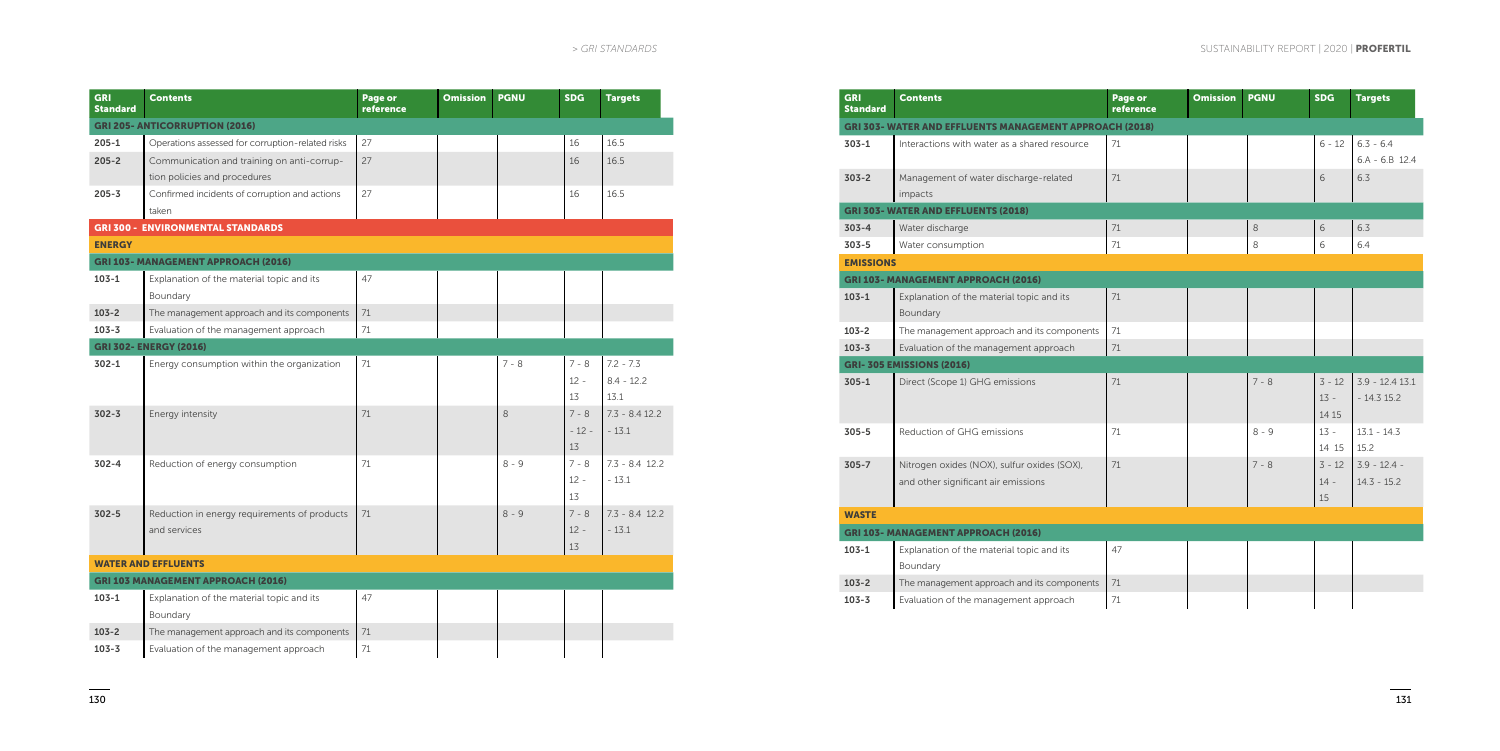| <b>GRI</b><br><b>Standard</b>         | <b>Contents</b>                                  | Page or<br>reference | <b>Omission</b> | <b>PGNU</b> | <b>SDG</b> | <b>Targets</b>   |  |
|---------------------------------------|--------------------------------------------------|----------------------|-----------------|-------------|------------|------------------|--|
| <b>GRI 205- ANTICORRUPTION (2016)</b> |                                                  |                      |                 |             |            |                  |  |
| $205 - 1$                             | Operations assessed for corruption-related risks | 27                   |                 |             | 16         | 16.5             |  |
| $205 - 2$                             | Communication and training on anti-corrup-       | 27                   |                 |             | 16         | 16.5             |  |
|                                       | tion policies and procedures                     |                      |                 |             |            |                  |  |
| $205 - 3$                             | Confirmed incidents of corruption and actions    | 27                   |                 |             | 16         | 16.5             |  |
|                                       | taken                                            |                      |                 |             |            |                  |  |
|                                       | <b>GRI 300 - ENVIRONMENTAL STANDARDS</b>         |                      |                 |             |            |                  |  |
| <b>ENERGY</b>                         |                                                  |                      |                 |             |            |                  |  |
|                                       | <b>GRI 103- MANAGEMENT APPROACH (2016)</b>       |                      |                 |             |            |                  |  |
| $103 - 1$                             | Explanation of the material topic and its        | 47                   |                 |             |            |                  |  |
|                                       | Boundary                                         |                      |                 |             |            |                  |  |
| $103 - 2$                             | The management approach and its components       | 71                   |                 |             |            |                  |  |
| $103 - 3$                             | Evaluation of the management approach            | 71                   |                 |             |            |                  |  |
|                                       | <b>GRI 302- ENERGY (2016)</b>                    |                      |                 |             |            |                  |  |
| $302 - 1$                             | Energy consumption within the organization       | 71                   |                 | $7 - 8$     | $7 - 8$    | $7.2 - 7.3$      |  |
|                                       |                                                  |                      |                 |             | $12 -$     | $8.4 - 12.2$     |  |
|                                       |                                                  |                      |                 |             | 13         | 13.1             |  |
| $302 - 3$                             | Energy intensity                                 | 71                   |                 | 8           | $7 - 8$    | $7.3 - 8.4$ 12.2 |  |
|                                       |                                                  |                      |                 |             | $-12-$     | $-13.1$          |  |
|                                       |                                                  |                      |                 |             | 13         |                  |  |
| $302 - 4$                             | Reduction of energy consumption                  | 71                   |                 | $8 - 9$     | $7 - 8$    | $7.3 - 8.4$ 12.2 |  |
|                                       |                                                  |                      |                 |             | $12 -$     | $-13.1$          |  |
|                                       |                                                  |                      |                 |             | 13         |                  |  |
| $302 - 5$                             | Reduction in energy requirements of products     | 71                   |                 | $8 - 9$     | $7 - 8$    | $7.3 - 8.4$ 12.2 |  |
|                                       | and services                                     |                      |                 |             | $12 -$     | $-13.1$          |  |
|                                       |                                                  |                      |                 |             | 13         |                  |  |
|                                       | <b>WATER AND EFFLUENTS</b>                       |                      |                 |             |            |                  |  |
|                                       | <b>GRI 103 MANAGEMENT APPROACH (2016)</b>        |                      |                 |             |            |                  |  |
| $103 - 1$                             | Explanation of the material topic and its        | 47                   |                 |             |            |                  |  |
|                                       | Boundary                                         |                      |                 |             |            |                  |  |
| $103 - 2$                             | The management approach and its components       | 71                   |                 |             |            |                  |  |
|                                       |                                                  |                      |                 |             |            |                  |  |

| <b>GRI</b><br><b>Standard</b> | <b>Contents</b>                                                                    | Page or<br>reference | <b>Omission</b> | <b>PGNU</b> | <b>SDG</b>                  | <b>Targets</b>             |
|-------------------------------|------------------------------------------------------------------------------------|----------------------|-----------------|-------------|-----------------------------|----------------------------|
|                               | <b>GRI 303- WATER AND EFFLUENTS MANAGEMENT APPROACH (2018)</b>                     |                      |                 |             |                             |                            |
| $303 - 1$                     | Interactions with water as a shared resource                                       | 71                   |                 |             | $6 - 12$                    | $6.3 - 6.4$<br>$6.A - 6.E$ |
| $303 - 2$                     | Management of water discharge-related<br>impacts                                   | 71                   |                 |             | 6                           | 6.3                        |
|                               | <b>GRI 303- WATER AND EFFLUENTS (2018)</b>                                         |                      |                 |             |                             |                            |
| $303 - 4$                     | Water discharge                                                                    | 71                   |                 | 8           | 6                           | 6.3                        |
| $303 - 5$                     | Water consumption                                                                  | 71                   |                 | 8           | 6                           | 6.4                        |
| <b>EMISSIONS</b>              |                                                                                    |                      |                 |             |                             |                            |
|                               | <b>GRI 103- MANAGEMENT APPROACH (2016)</b>                                         |                      |                 |             |                             |                            |
| $103 - 1$                     | Explanation of the material topic and its<br>Boundary                              | 71                   |                 |             |                             |                            |
| $103 - 2$                     | The management approach and its components                                         | 71                   |                 |             |                             |                            |
| $103 - 3$                     | Evaluation of the management approach                                              | 71                   |                 |             |                             |                            |
|                               | <b>GRI-305 EMISSIONS (2016)</b>                                                    |                      |                 |             |                             |                            |
| $305 - 1$                     | Direct (Scope 1) GHG emissions                                                     | 71                   |                 | $7 - 8$     | $3 - 12$<br>$13 -$<br>14 15 | $3.9 - 12.$<br>$-14.315$   |
| $305 - 5$                     | Reduction of GHG emissions                                                         | 71                   |                 | $8 - 9$     | $13 -$<br>14 15             | $13.1 - 14$<br>15.2        |
| $305 - 7$                     | Nitrogen oxides (NOX), sulfur oxides (SOX),<br>and other significant air emissions | 71                   |                 | $7 - 8$     | $3 - 12$<br>$14 -$<br>15    | $3.9 - 12.$<br>$14.3 - 15$ |
| <b>WASTE</b>                  |                                                                                    |                      |                 |             |                             |                            |
|                               | <b>GRI 103- MANAGEMENT APPROACH (2016)</b>                                         |                      |                 |             |                             |                            |
| $103 - 1$                     | Explanation of the material topic and its<br>Boundary                              | 47                   |                 |             |                             |                            |
| $103 - 2$                     | The management approach and its components                                         | 71                   |                 |             |                             |                            |
| $103 - 3$                     | Evaluation of the management approach                                              | 71                   |                 |             |                             |                            |

| Page or<br>reference | <b>Omission</b> | <b>PGNU</b> | SDG        | <b>Targets</b>    |
|----------------------|-----------------|-------------|------------|-------------------|
| CH (2018)            |                 |             |            |                   |
| 71                   |                 |             | $6 - 12$   | $6.3 - 6.4$       |
|                      |                 |             |            | $6.A - 6.B$ 12.4  |
| 71                   |                 |             | 6          | 6.3               |
|                      |                 |             |            |                   |
| 71                   |                 | $\,8\,$     | $\sqrt{6}$ | 6.3               |
| 71                   |                 | 8           | 6          | 6.4               |
|                      |                 |             |            |                   |
|                      |                 |             |            |                   |
| 71                   |                 |             |            |                   |
| 71                   |                 |             |            |                   |
| 71                   |                 |             |            |                   |
|                      |                 |             |            |                   |
| 71                   |                 | $7 - 8$     | $3 - 12$   | $3.9 - 12.4$ 13.1 |
|                      |                 |             | $13 -$     | $-14.315.2$       |
|                      |                 |             | 14 15      |                   |
| 71                   |                 | $8 - 9$     | $13 -$     | $13.1 - 14.3$     |
|                      |                 |             | 14 15      | 15.2              |
| 71                   |                 | $7 - 8$     | $3 - 12$   | $3.9 - 12.4 -$    |
|                      |                 |             | $14 -$     | $14.3 - 15.2$     |
|                      |                 |             | $15\,$     |                   |
|                      |                 |             |            |                   |
|                      |                 |             |            |                   |
| 47                   |                 |             |            |                   |
| 71                   |                 |             |            |                   |
| 71                   |                 |             |            |                   |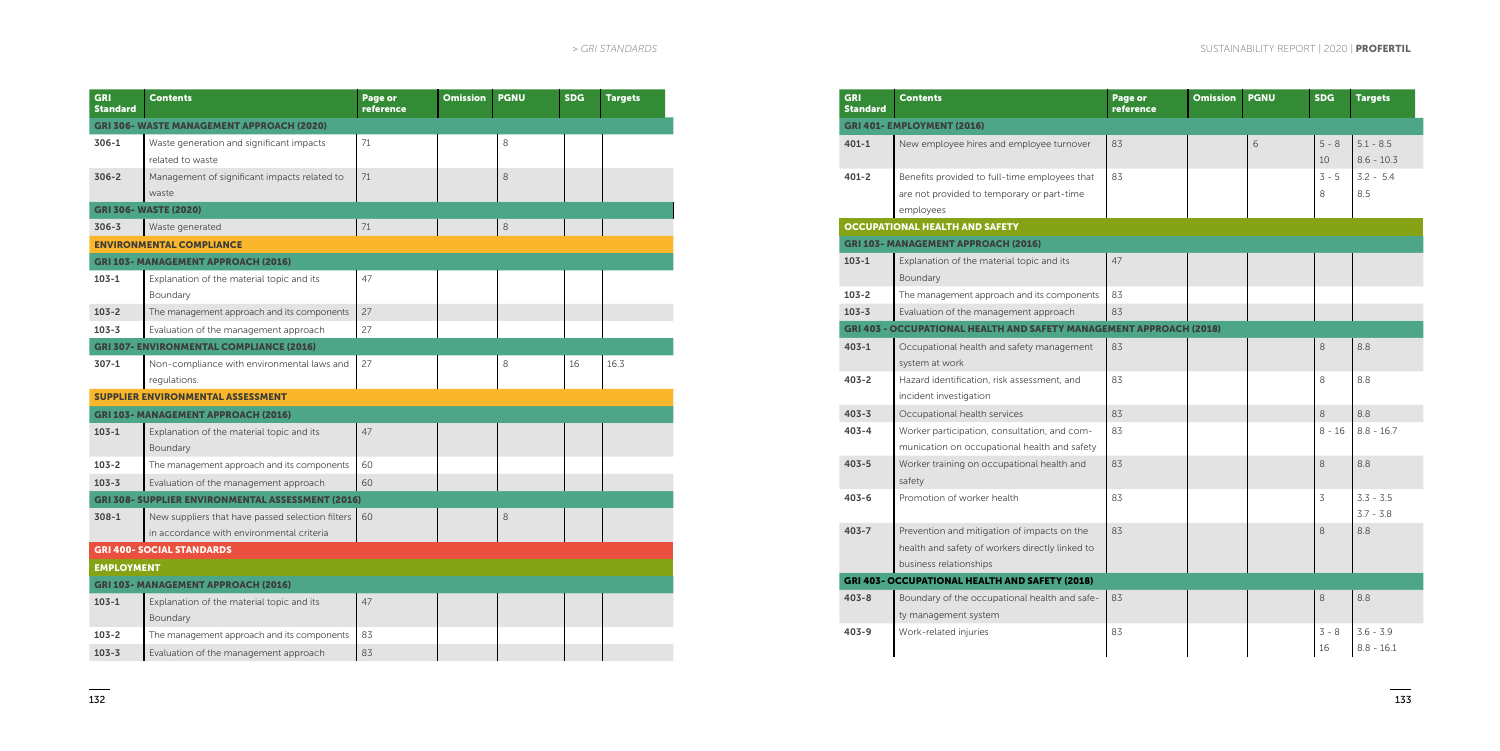| <b>GRI</b><br><b>Standard</b>                    | <b>Contents</b>                                          | Page or<br>reference | <b>Omission</b> | <b>PGNU</b> | <b>SDG</b> | <b>Targets</b> |  |  |
|--------------------------------------------------|----------------------------------------------------------|----------------------|-----------------|-------------|------------|----------------|--|--|
| <b>GRI 306- WASTE MANAGEMENT APPROACH (2020)</b> |                                                          |                      |                 |             |            |                |  |  |
| $306-1$                                          | Waste generation and significant impacts                 | 71                   |                 | 8           |            |                |  |  |
|                                                  | related to waste                                         |                      |                 |             |            |                |  |  |
| $306 - 2$                                        | Management of significant impacts related to             | 71                   |                 | 8           |            |                |  |  |
|                                                  | waste                                                    |                      |                 |             |            |                |  |  |
|                                                  | <b>GRI 306- WASTE (2020)</b>                             |                      |                 |             |            |                |  |  |
| $306 - 3$                                        | Waste generated                                          | 71                   |                 | $\,8\,$     |            |                |  |  |
|                                                  | <b>ENVIRONMENTAL COMPLIANCE</b>                          |                      |                 |             |            |                |  |  |
|                                                  | <b>GRI 103- MANAGEMENT APPROACH (2016)</b>               |                      |                 |             |            |                |  |  |
| $103 - 1$                                        | Explanation of the material topic and its                | 47                   |                 |             |            |                |  |  |
|                                                  | Boundary                                                 |                      |                 |             |            |                |  |  |
| $103 - 2$                                        | The management approach and its components               | 27                   |                 |             |            |                |  |  |
| $103 - 3$                                        | Evaluation of the management approach                    | 27                   |                 |             |            |                |  |  |
|                                                  | <b>GRI 307- ENVIRONMENTAL COMPLIANCE (2016)</b>          |                      |                 |             |            |                |  |  |
| $307-1$                                          | Non-compliance with environmental laws and               | 27                   |                 | 8           | 16         | 16.3           |  |  |
|                                                  | regulations.                                             |                      |                 |             |            |                |  |  |
|                                                  | <b>SUPPLIER ENVIRONMENTAL ASSESSMENT</b>                 |                      |                 |             |            |                |  |  |
|                                                  | <b>GRI 103- MANAGEMENT APPROACH (2016)</b>               |                      |                 |             |            |                |  |  |
| $103 - 1$                                        | Explanation of the material topic and its                | 47                   |                 |             |            |                |  |  |
|                                                  | Boundary                                                 |                      |                 |             |            |                |  |  |
| $103 - 2$                                        | The management approach and its components               | 60                   |                 |             |            |                |  |  |
| $103 - 3$                                        | Evaluation of the management approach                    | 60                   |                 |             |            |                |  |  |
|                                                  | <b>GRI 308- SUPPLIER ENVIRONMENTAL ASSESSMENT (2016)</b> |                      |                 |             |            |                |  |  |
| $308 - 1$                                        | New suppliers that have passed selection filters         | 60                   |                 | 8           |            |                |  |  |
|                                                  | in accordance with environmental criteria                |                      |                 |             |            |                |  |  |
|                                                  | <b>GRI 400- SOCIAL STANDARDS</b>                         |                      |                 |             |            |                |  |  |
| <b>EMPLOYMENT</b>                                |                                                          |                      |                 |             |            |                |  |  |
|                                                  | <b>GRI 103- MANAGEMENT APPROACH (2016)</b>               |                      |                 |             |            |                |  |  |
| $103 - 1$                                        | Explanation of the material topic and its                | 47                   |                 |             |            |                |  |  |
|                                                  | Boundary                                                 |                      |                 |             |            |                |  |  |
| $103 - 2$                                        | The management approach and its components               | 83                   |                 |             |            |                |  |  |
| $103 - 3$                                        | Evaluation of the management approach                    | 83                   |                 |             |            |                |  |  |

| <b>GRI</b><br>Standard | <b>Contents</b>                                                                                                          | Page or<br>reference | <b>Omission</b> | <b>PGNU</b> | <b>SDG</b>    | <b>Targets</b>              |
|------------------------|--------------------------------------------------------------------------------------------------------------------------|----------------------|-----------------|-------------|---------------|-----------------------------|
|                        | <b>GRI 401- EMPLOYMENT (2016)</b>                                                                                        |                      |                 |             |               |                             |
| $401 - 1$              | New employee hires and employee turnover                                                                                 | 83                   |                 | 6           | $5 - 8$<br>10 | $5.1 - 8.5$<br>$8.6 - 10.3$ |
| $401 - 2$              | Benefits provided to full-time employees that<br>are not provided to temporary or part-time<br>employees                 | 83                   |                 |             | $3 - 5$<br>8  | $3.2 - 5.4$<br>8.5          |
|                        | <b>OCCUPATIONAL HEALTH AND SAFETY</b>                                                                                    |                      |                 |             |               |                             |
|                        | <b>GRI 103- MANAGEMENT APPROACH (2016)</b>                                                                               |                      |                 |             |               |                             |
| $103 - 1$              | Explanation of the material topic and its<br>Boundary                                                                    | 47                   |                 |             |               |                             |
| $103 - 2$              | The management approach and its components                                                                               | 83                   |                 |             |               |                             |
| $103 - 3$              | Evaluation of the management approach                                                                                    | 83                   |                 |             |               |                             |
|                        | <b>GRI 403 - OCCUPATIONAL HEALTH AND SAFETY MANAGEMENT APPROACH (2018)</b>                                               |                      |                 |             |               |                             |
| $403 - 1$              | Occupational health and safety management<br>system at work                                                              | 83                   |                 |             | 8             | 8.8                         |
| $403 - 2$              | Hazard identification, risk assessment, and<br>incident investigation                                                    | 83                   |                 |             | 8             | 8.8                         |
| $403 - 3$              | Occupational health services                                                                                             | 83                   |                 |             | 8             | 8.8                         |
| $403 - 4$              | Worker participation, consultation, and com-<br>munication on occupational health and safety                             | 83                   |                 |             | $8 - 16$      | $8.8 - 16.7$                |
| $403 - 5$              | Worker training on occupational health and<br>safety                                                                     | 83                   |                 |             | 8             | 8.8                         |
| $403 - 6$              | Promotion of worker health                                                                                               | 83                   |                 |             | 3             | $3.3 - 3.5$<br>$3.7 - 3.8$  |
| $403 - 7$              | Prevention and mitigation of impacts on the<br>health and safety of workers directly linked to<br>business relationships | 83                   |                 |             | 8             | 8.8                         |
|                        | <b>GRI 403- OCCUPATIONAL HEALTH AND SAFETY (2018)</b>                                                                    |                      |                 |             |               |                             |
| $403 - 8$              | Boundary of the occupational health and safe-<br>ty management system                                                    | 83                   |                 |             | 8             | 8.8                         |
| $403 - 9$              | Work-related injuries                                                                                                    | 83                   |                 |             | $3 - 8$<br>16 | $3.6 - 3.9$<br>$8.8 - 16.1$ |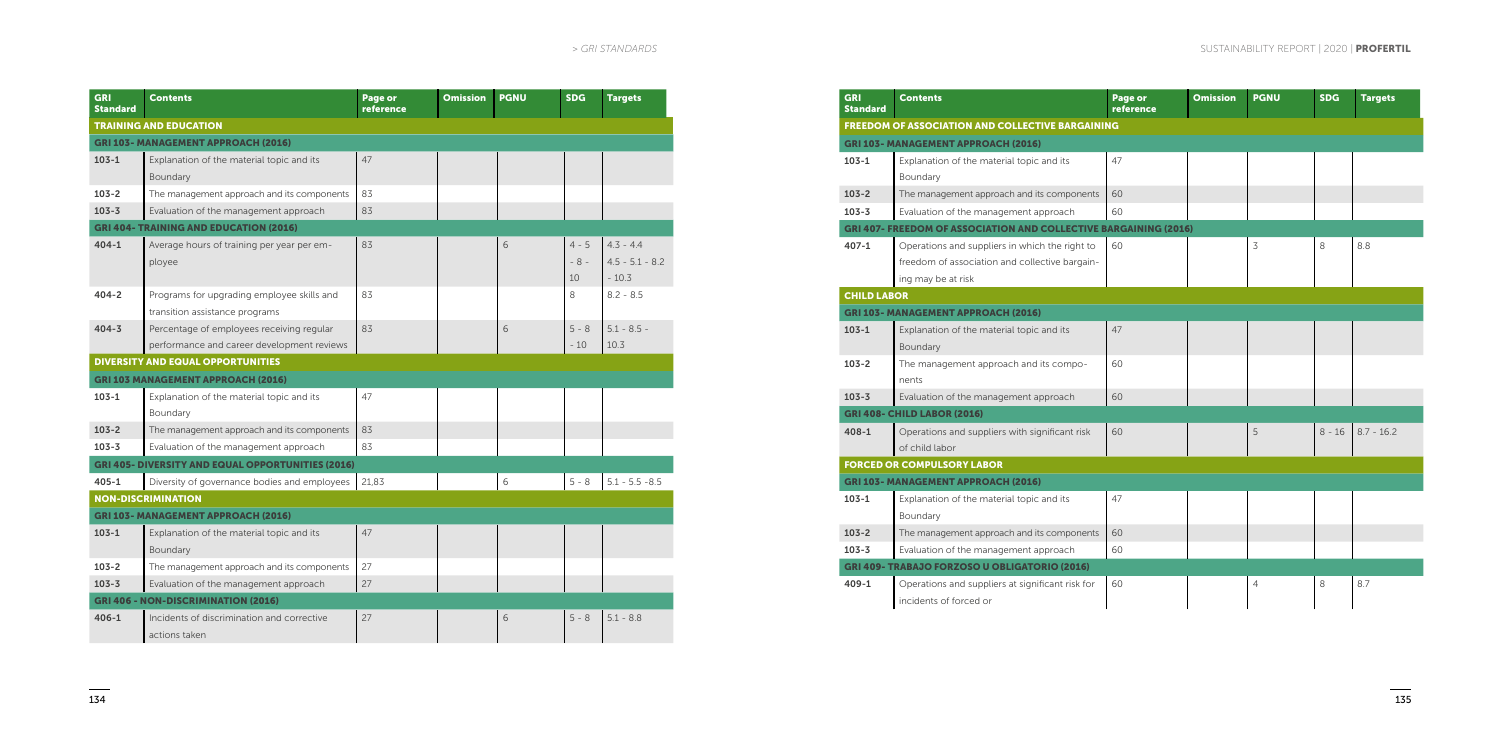| <b>GRI</b><br><b>Standard</b> | <b>Contents</b>                                          | Page or<br>reference | <b>Omission</b> | <b>PGNU</b> | <b>SDG</b> | <b>Targets</b>    |  |
|-------------------------------|----------------------------------------------------------|----------------------|-----------------|-------------|------------|-------------------|--|
| <b>TRAINING AND EDUCATION</b> |                                                          |                      |                 |             |            |                   |  |
|                               | <b>GRI 103- MANAGEMENT APPROACH (2016)</b>               |                      |                 |             |            |                   |  |
| $103 - 1$                     | Explanation of the material topic and its                | 47                   |                 |             |            |                   |  |
|                               | Boundary                                                 |                      |                 |             |            |                   |  |
| $103 - 2$                     | The management approach and its components               | 83                   |                 |             |            |                   |  |
| $103 - 3$                     | Evaluation of the management approach                    | 83                   |                 |             |            |                   |  |
|                               | <b>GRI 404- TRAINING AND EDUCATION (2016)</b>            |                      |                 |             |            |                   |  |
| $404 - 1$                     | Average hours of training per year per em-               | 83                   |                 | 6           | $4 - 5$    | $4.3 - 4.4$       |  |
|                               | ployee                                                   |                      |                 |             | $-8-$      | $4.5 - 5.1 - 8.2$ |  |
|                               |                                                          |                      |                 |             | 10         | $-10.3$           |  |
| $404 - 2$                     | Programs for upgrading employee skills and               | 83                   |                 |             | 8          | $8.2 - 8.5$       |  |
|                               | transition assistance programs                           |                      |                 |             |            |                   |  |
| $404 - 3$                     | Percentage of employees receiving regular                | 83                   |                 | 6           | $5 - 8$    | $5.1 - 8.5 -$     |  |
|                               | performance and career development reviews               |                      |                 |             | $-10$      | 10.3              |  |
|                               | <b>DIVERSITY AND EQUAL OPPORTUNITIES</b>                 |                      |                 |             |            |                   |  |
|                               | <b>GRI 103 MANAGEMENT APPROACH (2016)</b>                |                      |                 |             |            |                   |  |
| $103 - 1$                     | Explanation of the material topic and its                | 47                   |                 |             |            |                   |  |
|                               | Boundary                                                 |                      |                 |             |            |                   |  |
| $103 - 2$                     | The management approach and its components               | 83                   |                 |             |            |                   |  |
| $103 - 3$                     | Evaluation of the management approach                    | 83                   |                 |             |            |                   |  |
|                               | <b>GRI 405- DIVERSITY AND EQUAL OPPORTUNITIES (2016)</b> |                      |                 |             |            |                   |  |
| $405 - 1$                     | Diversity of governance bodies and employees             | 21.83                |                 | 6           | $5 - 8$    | $5.1 - 5.5 - 8.5$ |  |
|                               | <b>NON-DISCRIMINATION</b>                                |                      |                 |             |            |                   |  |
|                               | <b>GRI 103- MANAGEMENT APPROACH (2016)</b>               |                      |                 |             |            |                   |  |
| $103 - 1$                     | Explanation of the material topic and its                | 47                   |                 |             |            |                   |  |
|                               | Boundary                                                 |                      |                 |             |            |                   |  |
| $103 - 2$                     | The management approach and its components               | 27                   |                 |             |            |                   |  |
| $103 - 3$                     | Evaluation of the management approach                    | 27                   |                 |             |            |                   |  |
|                               | <b>GRI 406 - NON-DISCRIMINATION (2016)</b>               |                      |                 |             |            |                   |  |
| $406 - 1$                     | Incidents of discrimination and corrective               | 27                   |                 | 6           | $5 - 8$    | $5.1 - 8.8$       |  |
|                               | actions taken                                            |                      |                 |             |            |                   |  |

| <b>GRI</b><br><b>Standard</b> | <b>Contents</b>                                                         | Page or<br>reference | <b>Omission</b> | <b>PGNU</b>    | <b>SDG</b> | <b>Targets</b> |
|-------------------------------|-------------------------------------------------------------------------|----------------------|-----------------|----------------|------------|----------------|
|                               | <b>FREEDOM OF ASSOCIATION AND COLLECTIVE BARGAINING</b>                 |                      |                 |                |            |                |
|                               | <b>GRI 103- MANAGEMENT APPROACH (2016)</b>                              |                      |                 |                |            |                |
| $103 - 1$                     | Explanation of the material topic and its                               | 47                   |                 |                |            |                |
|                               | Boundary                                                                |                      |                 |                |            |                |
| $103 - 2$                     | The management approach and its components                              | 60                   |                 |                |            |                |
| $103 - 3$                     | Evaluation of the management approach                                   | 60                   |                 |                |            |                |
|                               | <b>GRI 407- FREEDOM OF ASSOCIATION AND COLLECTIVE BARGAINING (2016)</b> |                      |                 |                |            |                |
| $407 - 1$                     | Operations and suppliers in which the right to                          | 60                   |                 | 3              | 8          | 8.8            |
|                               | freedom of association and collective bargain-                          |                      |                 |                |            |                |
|                               | ing may be at risk                                                      |                      |                 |                |            |                |
| <b>CHILD LABOR</b>            |                                                                         |                      |                 |                |            |                |
|                               | <b>GRI 103- MANAGEMENT APPROACH (2016)</b>                              |                      |                 |                |            |                |
| $103 - 1$                     | Explanation of the material topic and its                               | 47                   |                 |                |            |                |
|                               | Boundary                                                                |                      |                 |                |            |                |
| $103 - 2$                     | The management approach and its compo-                                  | 60                   |                 |                |            |                |
|                               | nents                                                                   |                      |                 |                |            |                |
| $103 - 3$                     | Evaluation of the management approach                                   | 60                   |                 |                |            |                |
|                               | <b>GRI 408- CHILD LABOR (2016)</b>                                      |                      |                 |                |            |                |
| $408 - 1$                     | Operations and suppliers with significant risk                          | 60                   |                 | 5              | $8 - 16$   | $8.7 - 16.2$   |
|                               | of child labor                                                          |                      |                 |                |            |                |
|                               | <b>FORCED OR COMPULSORY LABOR</b>                                       |                      |                 |                |            |                |
|                               | <b>GRI 103- MANAGEMENT APPROACH (2016)</b>                              |                      |                 |                |            |                |
| $103 - 1$                     | Explanation of the material topic and its                               | 47                   |                 |                |            |                |
|                               | Boundary                                                                |                      |                 |                |            |                |
| $103 - 2$                     | The management approach and its components                              | 60                   |                 |                |            |                |
| $103 - 3$                     | Evaluation of the management approach                                   | 60                   |                 |                |            |                |
|                               | GRI 409- TRABAJO FORZOSO U OBLIGATORIO (2016)                           |                      |                 |                |            |                |
| 409-1                         | Operations and suppliers at significant risk for                        | 60                   |                 | $\overline{4}$ | 8          | 8.7            |
|                               | incidents of forced or                                                  |                      |                 |                |            |                |
|                               |                                                                         |                      |                 |                |            |                |